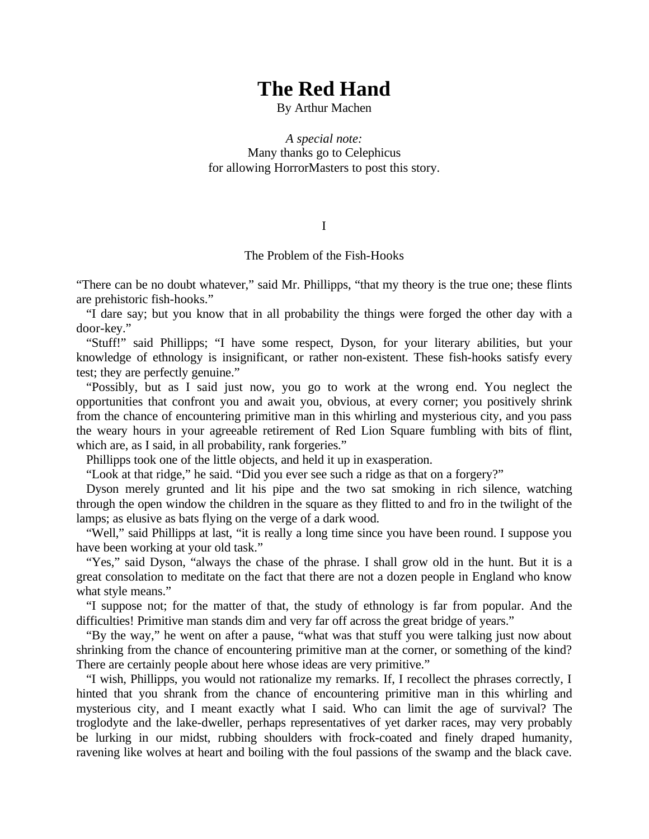# **The Red Hand**

By Arthur Machen

*A special note:* Many thanks go to Celephicus for allowing HorrorMasters to post this story.

I

## The Problem of the Fish-Hooks

"There can be no doubt whatever," said Mr. Phillipps, "that my theory is the true one; these flints are prehistoric fish-hooks."

"I dare say; but you know that in all probability the things were forged the other day with a door-key."

"Stuff!" said Phillipps; "I have some respect, Dyson, for your literary abilities, but your knowledge of ethnology is insignificant, or rather non-existent. These fish-hooks satisfy every test; they are perfectly genuine."

"Possibly, but as I said just now, you go to work at the wrong end. You neglect the opportunities that confront you and await you, obvious, at every corner; you positively shrink from the chance of encountering primitive man in this whirling and mysterious city, and you pass the weary hours in your agreeable retirement of Red Lion Square fumbling with bits of flint, which are, as I said, in all probability, rank forgeries."

Phillipps took one of the little objects, and held it up in exasperation.

"Look at that ridge," he said. "Did you ever see such a ridge as that on a forgery?"

Dyson merely grunted and lit his pipe and the two sat smoking in rich silence, watching through the open window the children in the square as they flitted to and fro in the twilight of the lamps; as elusive as bats flying on the verge of a dark wood.

"Well," said Phillipps at last, "it is really a long time since you have been round. I suppose you have been working at your old task."

"Yes," said Dyson, "always the chase of the phrase. I shall grow old in the hunt. But it is a great consolation to meditate on the fact that there are not a dozen people in England who know what style means."

"I suppose not; for the matter of that, the study of ethnology is far from popular. And the difficulties! Primitive man stands dim and very far off across the great bridge of years."

"By the way," he went on after a pause, "what was that stuff you were talking just now about shrinking from the chance of encountering primitive man at the corner, or something of the kind? There are certainly people about here whose ideas are very primitive."

"I wish, Phillipps, you would not rationalize my remarks. If, I recollect the phrases correctly, I hinted that you shrank from the chance of encountering primitive man in this whirling and mysterious city, and I meant exactly what I said. Who can limit the age of survival? The troglodyte and the lake-dweller, perhaps representatives of yet darker races, may very probably be lurking in our midst, rubbing shoulders with frock-coated and finely draped humanity, ravening like wolves at heart and boiling with the foul passions of the swamp and the black cave.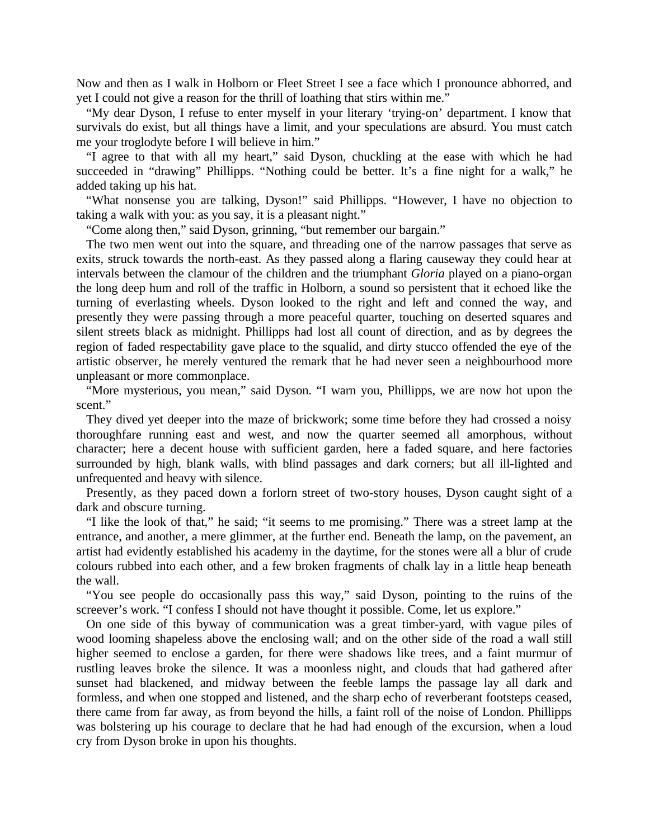Now and then as I walk in Holborn or Fleet Street I see a face which I pronounce abhorred, and yet I could not give a reason for the thrill of loathing that stirs within me."

"My dear Dyson, I refuse to enter myself in your literary 'trying-on' department. I know that survivals do exist, but all things have a limit, and your speculations are absurd. You must catch me your troglodyte before I will believe in him."

"I agree to that with all my heart," said Dyson, chuckling at the ease with which he had succeeded in "drawing" Phillipps. "Nothing could be better. It's a fine night for a walk," he added taking up his hat.

"What nonsense you are talking, Dyson!" said Phillipps. "However, I have no objection to taking a walk with you: as you say, it is a pleasant night."

"Come along then," said Dyson, grinning, "but remember our bargain."

The two men went out into the square, and threading one of the narrow passages that serve as exits, struck towards the north-east. As they passed along a flaring causeway they could hear at intervals between the clamour of the children and the triumphant *Gloria* played on a piano-organ the long deep hum and roll of the traffic in Holborn, a sound so persistent that it echoed like the turning of everlasting wheels. Dyson looked to the right and left and conned the way, and presently they were passing through a more peaceful quarter, touching on deserted squares and silent streets black as midnight. Phillipps had lost all count of direction, and as by degrees the region of faded respectability gave place to the squalid, and dirty stucco offended the eye of the artistic observer, he merely ventured the remark that he had never seen a neighbourhood more unpleasant or more commonplace.

"More mysterious, you mean," said Dyson. "I warn you, Phillipps, we are now hot upon the scent."

They dived yet deeper into the maze of brickwork; some time before they had crossed a noisy thoroughfare running east and west, and now the quarter seemed all amorphous, without character; here a decent house with sufficient garden, here a faded square, and here factories surrounded by high, blank walls, with blind passages and dark corners; but all ill-lighted and unfrequented and heavy with silence.

Presently, as they paced down a forlorn street of two-story houses, Dyson caught sight of a dark and obscure turning.

"I like the look of that," he said; "it seems to me promising." There was a street lamp at the entrance, and another, a mere glimmer, at the further end. Beneath the lamp, on the pavement, an artist had evidently established his academy in the daytime, for the stones were all a blur of crude colours rubbed into each other, and a few broken fragments of chalk lay in a little heap beneath the wall.

"You see people do occasionally pass this way," said Dyson, pointing to the ruins of the screever's work. "I confess I should not have thought it possible. Come, let us explore."

On one side of this byway of communication was a great timber-yard, with vague piles of wood looming shapeless above the enclosing wall; and on the other side of the road a wall still higher seemed to enclose a garden, for there were shadows like trees, and a faint murmur of rustling leaves broke the silence. It was a moonless night, and clouds that had gathered after sunset had blackened, and midway between the feeble lamps the passage lay all dark and formless, and when one stopped and listened, and the sharp echo of reverberant footsteps ceased, there came from far away, as from beyond the hills, a faint roll of the noise of London. Phillipps was bolstering up his courage to declare that he had had enough of the excursion, when a loud cry from Dyson broke in upon his thoughts.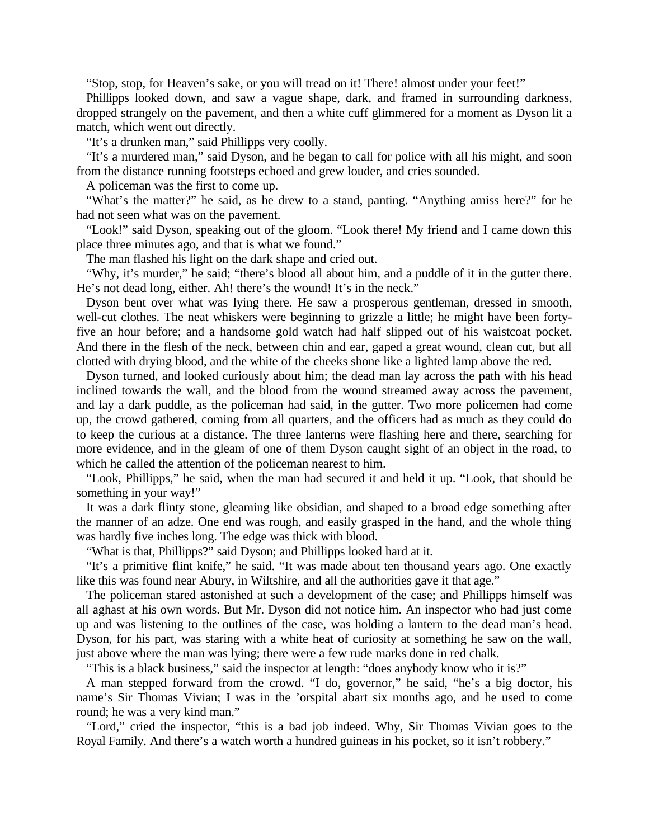"Stop, stop, for Heaven's sake, or you will tread on it! There! almost under your feet!"

Phillipps looked down, and saw a vague shape, dark, and framed in surrounding darkness, dropped strangely on the pavement, and then a white cuff glimmered for a moment as Dyson lit a match, which went out directly.

"It's a drunken man," said Phillipps very coolly.

"It's a murdered man," said Dyson, and he began to call for police with all his might, and soon from the distance running footsteps echoed and grew louder, and cries sounded.

A policeman was the first to come up.

"What's the matter?" he said, as he drew to a stand, panting. "Anything amiss here?" for he had not seen what was on the pavement.

"Look!" said Dyson, speaking out of the gloom. "Look there! My friend and I came down this place three minutes ago, and that is what we found."

The man flashed his light on the dark shape and cried out.

"Why, it's murder," he said; "there's blood all about him, and a puddle of it in the gutter there. He's not dead long, either. Ah! there's the wound! It's in the neck."

Dyson bent over what was lying there. He saw a prosperous gentleman, dressed in smooth, well-cut clothes. The neat whiskers were beginning to grizzle a little; he might have been fortyfive an hour before; and a handsome gold watch had half slipped out of his waistcoat pocket. And there in the flesh of the neck, between chin and ear, gaped a great wound, clean cut, but all clotted with drying blood, and the white of the cheeks shone like a lighted lamp above the red.

Dyson turned, and looked curiously about him; the dead man lay across the path with his head inclined towards the wall, and the blood from the wound streamed away across the pavement, and lay a dark puddle, as the policeman had said, in the gutter. Two more policemen had come up, the crowd gathered, coming from all quarters, and the officers had as much as they could do to keep the curious at a distance. The three lanterns were flashing here and there, searching for more evidence, and in the gleam of one of them Dyson caught sight of an object in the road, to which he called the attention of the policeman nearest to him.

"Look, Phillipps," he said, when the man had secured it and held it up. "Look, that should be something in your way!"

It was a dark flinty stone, gleaming like obsidian, and shaped to a broad edge something after the manner of an adze. One end was rough, and easily grasped in the hand, and the whole thing was hardly five inches long. The edge was thick with blood.

"What is that, Phillipps?" said Dyson; and Phillipps looked hard at it.

"It's a primitive flint knife," he said. "It was made about ten thousand years ago. One exactly like this was found near Abury, in Wiltshire, and all the authorities gave it that age."

The policeman stared astonished at such a development of the case; and Phillipps himself was all aghast at his own words. But Mr. Dyson did not notice him. An inspector who had just come up and was listening to the outlines of the case, was holding a lantern to the dead man's head. Dyson, for his part, was staring with a white heat of curiosity at something he saw on the wall, just above where the man was lying; there were a few rude marks done in red chalk.

"This is a black business," said the inspector at length: "does anybody know who it is?"

A man stepped forward from the crowd. "I do, governor," he said, "he's a big doctor, his name's Sir Thomas Vivian; I was in the 'orspital abart six months ago, and he used to come round; he was a very kind man."

"Lord," cried the inspector, "this is a bad job indeed. Why, Sir Thomas Vivian goes to the Royal Family. And there's a watch worth a hundred guineas in his pocket, so it isn't robbery."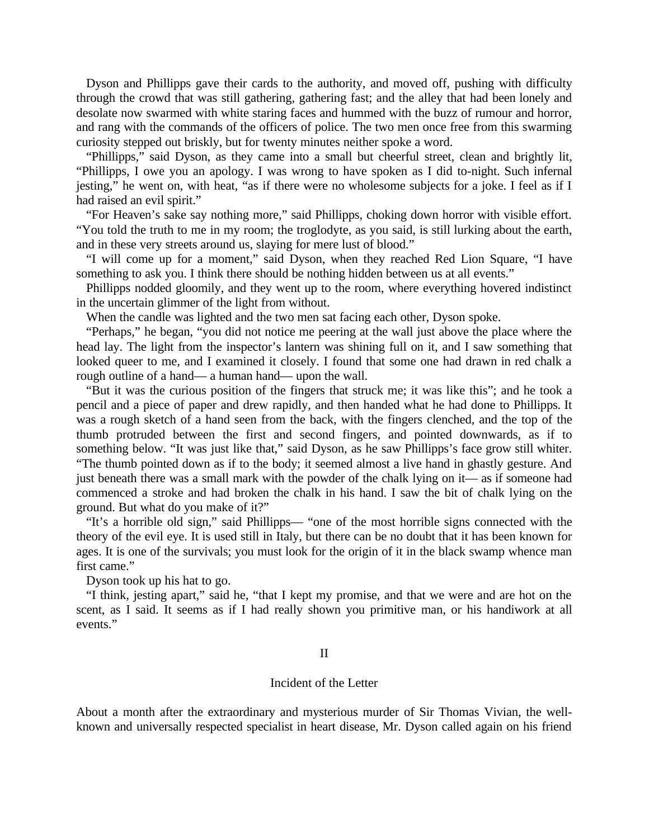Dyson and Phillipps gave their cards to the authority, and moved off, pushing with difficulty through the crowd that was still gathering, gathering fast; and the alley that had been lonely and desolate now swarmed with white staring faces and hummed with the buzz of rumour and horror, and rang with the commands of the officers of police. The two men once free from this swarming curiosity stepped out briskly, but for twenty minutes neither spoke a word.

"Phillipps," said Dyson, as they came into a small but cheerful street, clean and brightly lit, "Phillipps, I owe you an apology. I was wrong to have spoken as I did to-night. Such infernal jesting," he went on, with heat, "as if there were no wholesome subjects for a joke. I feel as if I had raised an evil spirit."

"For Heaven's sake say nothing more," said Phillipps, choking down horror with visible effort. "You told the truth to me in my room; the troglodyte, as you said, is still lurking about the earth, and in these very streets around us, slaying for mere lust of blood."

"I will come up for a moment," said Dyson, when they reached Red Lion Square, "I have something to ask you. I think there should be nothing hidden between us at all events."

Phillipps nodded gloomily, and they went up to the room, where everything hovered indistinct in the uncertain glimmer of the light from without.

When the candle was lighted and the two men sat facing each other, Dyson spoke.

"Perhaps," he began, "you did not notice me peering at the wall just above the place where the head lay. The light from the inspector's lantern was shining full on it, and I saw something that looked queer to me, and I examined it closely. I found that some one had drawn in red chalk a rough outline of a hand— a human hand— upon the wall.

"But it was the curious position of the fingers that struck me; it was like this"; and he took a pencil and a piece of paper and drew rapidly, and then handed what he had done to Phillipps. It was a rough sketch of a hand seen from the back, with the fingers clenched, and the top of the thumb protruded between the first and second fingers, and pointed downwards, as if to something below. "It was just like that," said Dyson, as he saw Phillipps's face grow still whiter. "The thumb pointed down as if to the body; it seemed almost a live hand in ghastly gesture. And just beneath there was a small mark with the powder of the chalk lying on it— as if someone had commenced a stroke and had broken the chalk in his hand. I saw the bit of chalk lying on the ground. But what do you make of it?"

"It's a horrible old sign," said Phillipps— "one of the most horrible signs connected with the theory of the evil eye. It is used still in Italy, but there can be no doubt that it has been known for ages. It is one of the survivals; you must look for the origin of it in the black swamp whence man first came."

Dyson took up his hat to go.

"I think, jesting apart," said he, "that I kept my promise, and that we were and are hot on the scent, as I said. It seems as if I had really shown you primitive man, or his handiwork at all events."

#### II

#### Incident of the Letter

About a month after the extraordinary and mysterious murder of Sir Thomas Vivian, the wellknown and universally respected specialist in heart disease, Mr. Dyson called again on his friend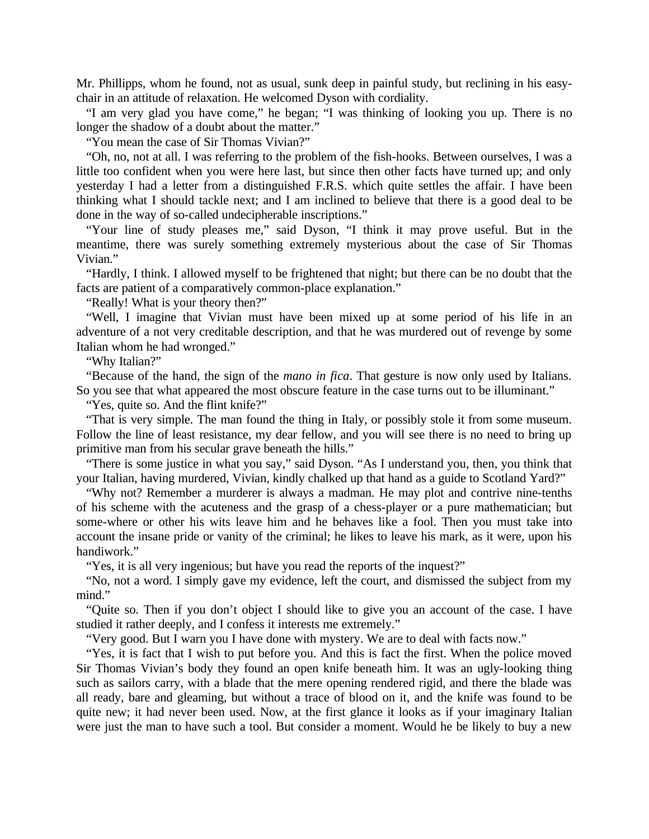Mr. Phillipps, whom he found, not as usual, sunk deep in painful study, but reclining in his easychair in an attitude of relaxation. He welcomed Dyson with cordiality.

"I am very glad you have come," he began; "I was thinking of looking you up. There is no longer the shadow of a doubt about the matter."

"You mean the case of Sir Thomas Vivian?"

"Oh, no, not at all. I was referring to the problem of the fish-hooks. Between ourselves, I was a little too confident when you were here last, but since then other facts have turned up; and only yesterday I had a letter from a distinguished F.R.S. which quite settles the affair. I have been thinking what I should tackle next; and I am inclined to believe that there is a good deal to be done in the way of so-called undecipherable inscriptions."

"Your line of study pleases me," said Dyson, "I think it may prove useful. But in the meantime, there was surely something extremely mysterious about the case of Sir Thomas Vivian."

"Hardly, I think. I allowed myself to be frightened that night; but there can be no doubt that the facts are patient of a comparatively common-place explanation."

"Really! What is your theory then?"

"Well, I imagine that Vivian must have been mixed up at some period of his life in an adventure of a not very creditable description, and that he was murdered out of revenge by some Italian whom he had wronged."

"Why Italian?"

"Because of the hand, the sign of the *mano in fica*. That gesture is now only used by Italians. So you see that what appeared the most obscure feature in the case turns out to be illuminant."

"Yes, quite so. And the flint knife?"

"That is very simple. The man found the thing in Italy, or possibly stole it from some museum. Follow the line of least resistance, my dear fellow, and you will see there is no need to bring up primitive man from his secular grave beneath the hills."

"There is some justice in what you say," said Dyson. "As I understand you, then, you think that your Italian, having murdered, Vivian, kindly chalked up that hand as a guide to Scotland Yard?"

"Why not? Remember a murderer is always a madman. He may plot and contrive nine-tenths of his scheme with the acuteness and the grasp of a chess-player or a pure mathematician; but some-where or other his wits leave him and he behaves like a fool. Then you must take into account the insane pride or vanity of the criminal; he likes to leave his mark, as it were, upon his handiwork."

"Yes, it is all very ingenious; but have you read the reports of the inquest?"

"No, not a word. I simply gave my evidence, left the court, and dismissed the subject from my mind."

"Quite so. Then if you don't object I should like to give you an account of the case. I have studied it rather deeply, and I confess it interests me extremely."

"Very good. But I warn you I have done with mystery. We are to deal with facts now."

"Yes, it is fact that I wish to put before you. And this is fact the first. When the police moved Sir Thomas Vivian's body they found an open knife beneath him. It was an ugly-looking thing such as sailors carry, with a blade that the mere opening rendered rigid, and there the blade was all ready, bare and gleaming, but without a trace of blood on it, and the knife was found to be quite new; it had never been used. Now, at the first glance it looks as if your imaginary Italian were just the man to have such a tool. But consider a moment. Would he be likely to buy a new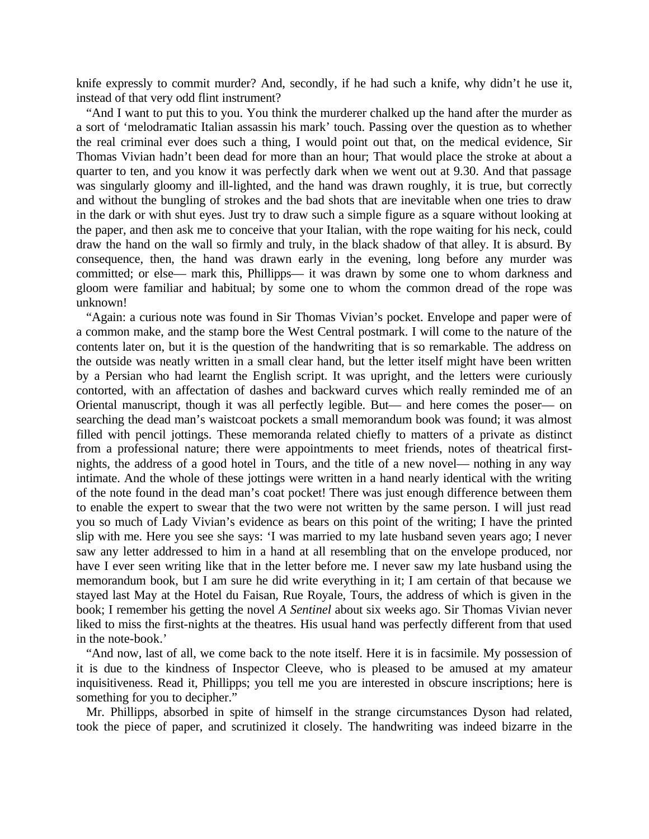knife expressly to commit murder? And, secondly, if he had such a knife, why didn't he use it, instead of that very odd flint instrument?

"And I want to put this to you. You think the murderer chalked up the hand after the murder as a sort of 'melodramatic Italian assassin his mark' touch. Passing over the question as to whether the real criminal ever does such a thing, I would point out that, on the medical evidence, Sir Thomas Vivian hadn't been dead for more than an hour; That would place the stroke at about a quarter to ten, and you know it was perfectly dark when we went out at 9.30. And that passage was singularly gloomy and ill-lighted, and the hand was drawn roughly, it is true, but correctly and without the bungling of strokes and the bad shots that are inevitable when one tries to draw in the dark or with shut eyes. Just try to draw such a simple figure as a square without looking at the paper, and then ask me to conceive that your Italian, with the rope waiting for his neck, could draw the hand on the wall so firmly and truly, in the black shadow of that alley. It is absurd. By consequence, then, the hand was drawn early in the evening, long before any murder was committed; or else— mark this, Phillipps— it was drawn by some one to whom darkness and gloom were familiar and habitual; by some one to whom the common dread of the rope was unknown!

"Again: a curious note was found in Sir Thomas Vivian's pocket. Envelope and paper were of a common make, and the stamp bore the West Central postmark. I will come to the nature of the contents later on, but it is the question of the handwriting that is so remarkable. The address on the outside was neatly written in a small clear hand, but the letter itself might have been written by a Persian who had learnt the English script. It was upright, and the letters were curiously contorted, with an affectation of dashes and backward curves which really reminded me of an Oriental manuscript, though it was all perfectly legible. But— and here comes the poser— on searching the dead man's waistcoat pockets a small memorandum book was found; it was almost filled with pencil jottings. These memoranda related chiefly to matters of a private as distinct from a professional nature; there were appointments to meet friends, notes of theatrical firstnights, the address of a good hotel in Tours, and the title of a new novel— nothing in any way intimate. And the whole of these jottings were written in a hand nearly identical with the writing of the note found in the dead man's coat pocket! There was just enough difference between them to enable the expert to swear that the two were not written by the same person. I will just read you so much of Lady Vivian's evidence as bears on this point of the writing; I have the printed slip with me. Here you see she says: 'I was married to my late husband seven years ago; I never saw any letter addressed to him in a hand at all resembling that on the envelope produced, nor have I ever seen writing like that in the letter before me. I never saw my late husband using the memorandum book, but I am sure he did write everything in it; I am certain of that because we stayed last May at the Hotel du Faisan, Rue Royale, Tours, the address of which is given in the book; I remember his getting the novel *A Sentinel* about six weeks ago. Sir Thomas Vivian never liked to miss the first-nights at the theatres. His usual hand was perfectly different from that used in the note-book.'

"And now, last of all, we come back to the note itself. Here it is in facsimile. My possession of it is due to the kindness of Inspector Cleeve, who is pleased to be amused at my amateur inquisitiveness. Read it, Phillipps; you tell me you are interested in obscure inscriptions; here is something for you to decipher."

Mr. Phillipps, absorbed in spite of himself in the strange circumstances Dyson had related, took the piece of paper, and scrutinized it closely. The handwriting was indeed bizarre in the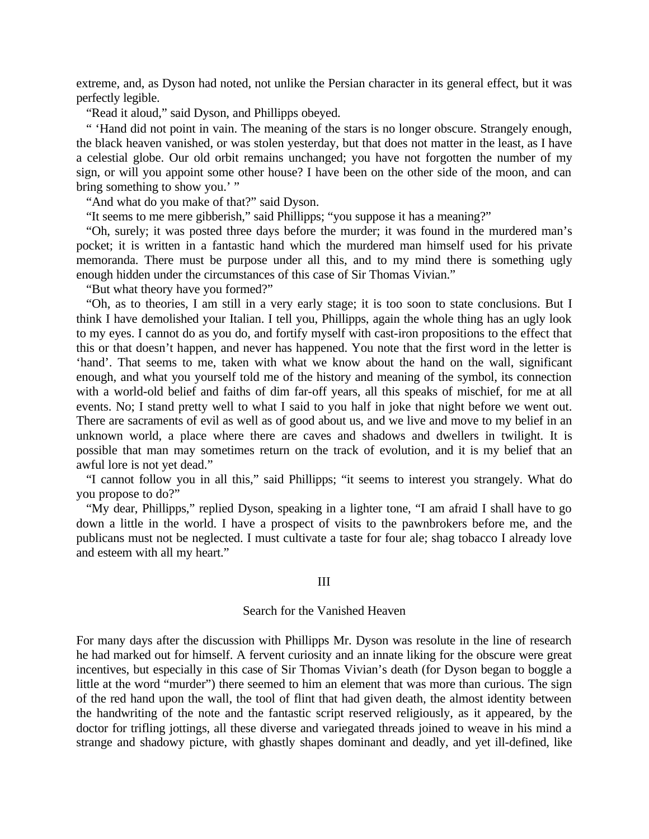extreme, and, as Dyson had noted, not unlike the Persian character in its general effect, but it was perfectly legible.

"Read it aloud," said Dyson, and Phillipps obeyed.

" 'Hand did not point in vain. The meaning of the stars is no longer obscure. Strangely enough, the black heaven vanished, or was stolen yesterday, but that does not matter in the least, as I have a celestial globe. Our old orbit remains unchanged; you have not forgotten the number of my sign, or will you appoint some other house? I have been on the other side of the moon, and can bring something to show you.' "

"And what do you make of that?" said Dyson.

"It seems to me mere gibberish," said Phillipps; "you suppose it has a meaning?"

"Oh, surely; it was posted three days before the murder; it was found in the murdered man's pocket; it is written in a fantastic hand which the murdered man himself used for his private memoranda. There must be purpose under all this, and to my mind there is something ugly enough hidden under the circumstances of this case of Sir Thomas Vivian."

"But what theory have you formed?"

"Oh, as to theories, I am still in a very early stage; it is too soon to state conclusions. But I think I have demolished your Italian. I tell you, Phillipps, again the whole thing has an ugly look to my eyes. I cannot do as you do, and fortify myself with cast-iron propositions to the effect that this or that doesn't happen, and never has happened. You note that the first word in the letter is 'hand'. That seems to me, taken with what we know about the hand on the wall, significant enough, and what you yourself told me of the history and meaning of the symbol, its connection with a world-old belief and faiths of dim far-off years, all this speaks of mischief, for me at all events. No; I stand pretty well to what I said to you half in joke that night before we went out. There are sacraments of evil as well as of good about us, and we live and move to my belief in an unknown world, a place where there are caves and shadows and dwellers in twilight. It is possible that man may sometimes return on the track of evolution, and it is my belief that an awful lore is not yet dead."

"I cannot follow you in all this," said Phillipps; "it seems to interest you strangely. What do you propose to do?"

"My dear, Phillipps," replied Dyson, speaking in a lighter tone, "I am afraid I shall have to go down a little in the world. I have a prospect of visits to the pawnbrokers before me, and the publicans must not be neglected. I must cultivate a taste for four ale; shag tobacco I already love and esteem with all my heart."

#### III

### Search for the Vanished Heaven

For many days after the discussion with Phillipps Mr. Dyson was resolute in the line of research he had marked out for himself. A fervent curiosity and an innate liking for the obscure were great incentives, but especially in this case of Sir Thomas Vivian's death (for Dyson began to boggle a little at the word "murder") there seemed to him an element that was more than curious. The sign of the red hand upon the wall, the tool of flint that had given death, the almost identity between the handwriting of the note and the fantastic script reserved religiously, as it appeared, by the doctor for trifling jottings, all these diverse and variegated threads joined to weave in his mind a strange and shadowy picture, with ghastly shapes dominant and deadly, and yet ill-defined, like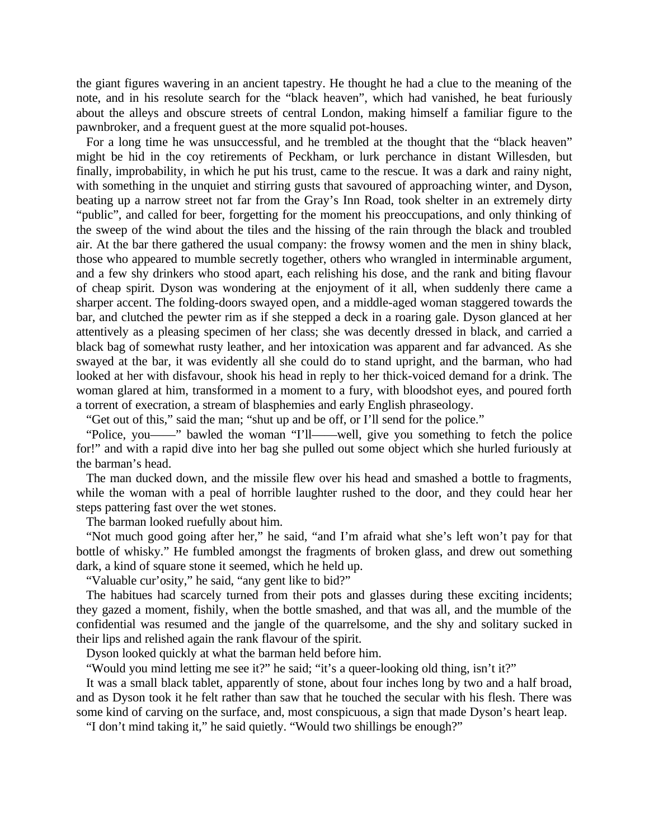the giant figures wavering in an ancient tapestry. He thought he had a clue to the meaning of the note, and in his resolute search for the "black heaven", which had vanished, he beat furiously about the alleys and obscure streets of central London, making himself a familiar figure to the pawnbroker, and a frequent guest at the more squalid pot-houses.

For a long time he was unsuccessful, and he trembled at the thought that the "black heaven" might be hid in the coy retirements of Peckham, or lurk perchance in distant Willesden, but finally, improbability, in which he put his trust, came to the rescue. It was a dark and rainy night, with something in the unquiet and stirring gusts that savoured of approaching winter, and Dyson, beating up a narrow street not far from the Gray's Inn Road, took shelter in an extremely dirty "public", and called for beer, forgetting for the moment his preoccupations, and only thinking of the sweep of the wind about the tiles and the hissing of the rain through the black and troubled air. At the bar there gathered the usual company: the frowsy women and the men in shiny black, those who appeared to mumble secretly together, others who wrangled in interminable argument, and a few shy drinkers who stood apart, each relishing his dose, and the rank and biting flavour of cheap spirit. Dyson was wondering at the enjoyment of it all, when suddenly there came a sharper accent. The folding-doors swayed open, and a middle-aged woman staggered towards the bar, and clutched the pewter rim as if she stepped a deck in a roaring gale. Dyson glanced at her attentively as a pleasing specimen of her class; she was decently dressed in black, and carried a black bag of somewhat rusty leather, and her intoxication was apparent and far advanced. As she swayed at the bar, it was evidently all she could do to stand upright, and the barman, who had looked at her with disfavour, shook his head in reply to her thick-voiced demand for a drink. The woman glared at him, transformed in a moment to a fury, with bloodshot eyes, and poured forth a torrent of execration, a stream of blasphemies and early English phraseology.

"Get out of this," said the man; "shut up and be off, or I'll send for the police."

"Police, you——" bawled the woman "I'll——well, give you something to fetch the police for!" and with a rapid dive into her bag she pulled out some object which she hurled furiously at the barman's head.

The man ducked down, and the missile flew over his head and smashed a bottle to fragments, while the woman with a peal of horrible laughter rushed to the door, and they could hear her steps pattering fast over the wet stones.

The barman looked ruefully about him.

"Not much good going after her," he said, "and I'm afraid what she's left won't pay for that bottle of whisky." He fumbled amongst the fragments of broken glass, and drew out something dark, a kind of square stone it seemed, which he held up.

"Valuable cur'osity," he said, "any gent like to bid?"

The habitues had scarcely turned from their pots and glasses during these exciting incidents; they gazed a moment, fishily, when the bottle smashed, and that was all, and the mumble of the confidential was resumed and the jangle of the quarrelsome, and the shy and solitary sucked in their lips and relished again the rank flavour of the spirit.

Dyson looked quickly at what the barman held before him.

"Would you mind letting me see it?" he said; "it's a queer-looking old thing, isn't it?"

It was a small black tablet, apparently of stone, about four inches long by two and a half broad, and as Dyson took it he felt rather than saw that he touched the secular with his flesh. There was some kind of carving on the surface, and, most conspicuous, a sign that made Dyson's heart leap.

"I don't mind taking it," he said quietly. "Would two shillings be enough?"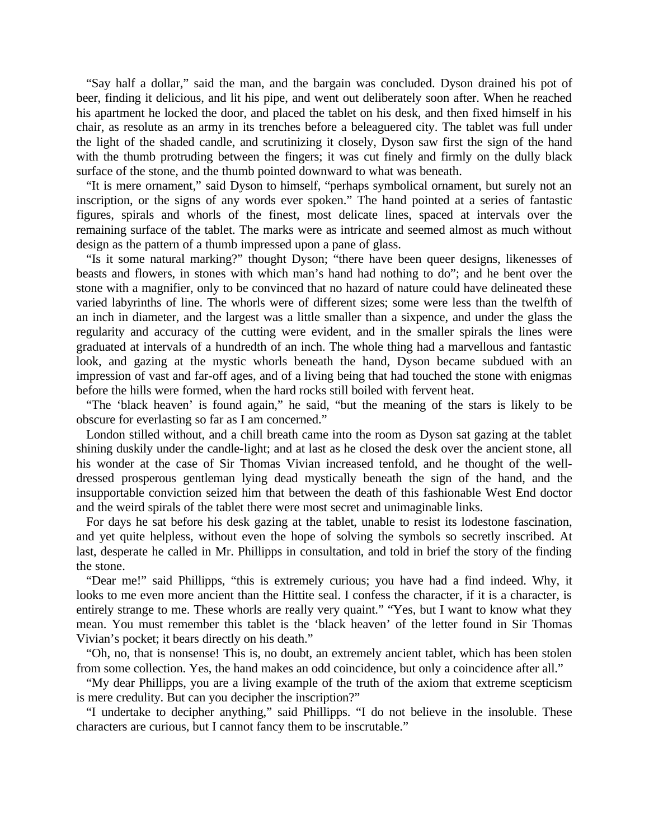"Say half a dollar," said the man, and the bargain was concluded. Dyson drained his pot of beer, finding it delicious, and lit his pipe, and went out deliberately soon after. When he reached his apartment he locked the door, and placed the tablet on his desk, and then fixed himself in his chair, as resolute as an army in its trenches before a beleaguered city. The tablet was full under the light of the shaded candle, and scrutinizing it closely, Dyson saw first the sign of the hand with the thumb protruding between the fingers; it was cut finely and firmly on the dully black surface of the stone, and the thumb pointed downward to what was beneath.

"It is mere ornament," said Dyson to himself, "perhaps symbolical ornament, but surely not an inscription, or the signs of any words ever spoken." The hand pointed at a series of fantastic figures, spirals and whorls of the finest, most delicate lines, spaced at intervals over the remaining surface of the tablet. The marks were as intricate and seemed almost as much without design as the pattern of a thumb impressed upon a pane of glass.

"Is it some natural marking?" thought Dyson; "there have been queer designs, likenesses of beasts and flowers, in stones with which man's hand had nothing to do"; and he bent over the stone with a magnifier, only to be convinced that no hazard of nature could have delineated these varied labyrinths of line. The whorls were of different sizes; some were less than the twelfth of an inch in diameter, and the largest was a little smaller than a sixpence, and under the glass the regularity and accuracy of the cutting were evident, and in the smaller spirals the lines were graduated at intervals of a hundredth of an inch. The whole thing had a marvellous and fantastic look, and gazing at the mystic whorls beneath the hand, Dyson became subdued with an impression of vast and far-off ages, and of a living being that had touched the stone with enigmas before the hills were formed, when the hard rocks still boiled with fervent heat.

"The 'black heaven' is found again," he said, "but the meaning of the stars is likely to be obscure for everlasting so far as I am concerned."

London stilled without, and a chill breath came into the room as Dyson sat gazing at the tablet shining duskily under the candle-light; and at last as he closed the desk over the ancient stone, all his wonder at the case of Sir Thomas Vivian increased tenfold, and he thought of the welldressed prosperous gentleman lying dead mystically beneath the sign of the hand, and the insupportable conviction seized him that between the death of this fashionable West End doctor and the weird spirals of the tablet there were most secret and unimaginable links.

For days he sat before his desk gazing at the tablet, unable to resist its lodestone fascination, and yet quite helpless, without even the hope of solving the symbols so secretly inscribed. At last, desperate he called in Mr. Phillipps in consultation, and told in brief the story of the finding the stone.

"Dear me!" said Phillipps, "this is extremely curious; you have had a find indeed. Why, it looks to me even more ancient than the Hittite seal. I confess the character, if it is a character, is entirely strange to me. These whorls are really very quaint." "Yes, but I want to know what they mean. You must remember this tablet is the 'black heaven' of the letter found in Sir Thomas Vivian's pocket; it bears directly on his death."

"Oh, no, that is nonsense! This is, no doubt, an extremely ancient tablet, which has been stolen from some collection. Yes, the hand makes an odd coincidence, but only a coincidence after all."

"My dear Phillipps, you are a living example of the truth of the axiom that extreme scepticism is mere credulity. But can you decipher the inscription?"

"I undertake to decipher anything," said Phillipps. "I do not believe in the insoluble. These characters are curious, but I cannot fancy them to be inscrutable."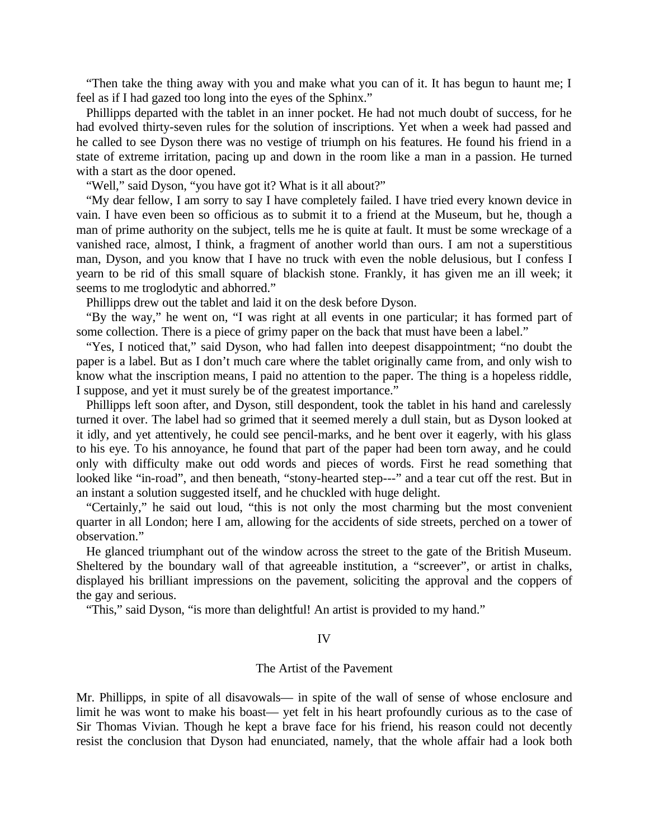"Then take the thing away with you and make what you can of it. It has begun to haunt me; I feel as if I had gazed too long into the eyes of the Sphinx."

Phillipps departed with the tablet in an inner pocket. He had not much doubt of success, for he had evolved thirty-seven rules for the solution of inscriptions. Yet when a week had passed and he called to see Dyson there was no vestige of triumph on his features. He found his friend in a state of extreme irritation, pacing up and down in the room like a man in a passion. He turned with a start as the door opened.

"Well," said Dyson, "you have got it? What is it all about?"

"My dear fellow, I am sorry to say I have completely failed. I have tried every known device in vain. I have even been so officious as to submit it to a friend at the Museum, but he, though a man of prime authority on the subject, tells me he is quite at fault. It must be some wreckage of a vanished race, almost, I think, a fragment of another world than ours. I am not a superstitious man, Dyson, and you know that I have no truck with even the noble delusious, but I confess I yearn to be rid of this small square of blackish stone. Frankly, it has given me an ill week; it seems to me troglodytic and abhorred."

Phillipps drew out the tablet and laid it on the desk before Dyson.

"By the way," he went on, "I was right at all events in one particular; it has formed part of some collection. There is a piece of grimy paper on the back that must have been a label."

"Yes, I noticed that," said Dyson, who had fallen into deepest disappointment; "no doubt the paper is a label. But as I don't much care where the tablet originally came from, and only wish to know what the inscription means, I paid no attention to the paper. The thing is a hopeless riddle, I suppose, and yet it must surely be of the greatest importance."

Phillipps left soon after, and Dyson, still despondent, took the tablet in his hand and carelessly turned it over. The label had so grimed that it seemed merely a dull stain, but as Dyson looked at it idly, and yet attentively, he could see pencil-marks, and he bent over it eagerly, with his glass to his eye. To his annoyance, he found that part of the paper had been torn away, and he could only with difficulty make out odd words and pieces of words. First he read something that looked like "in-road", and then beneath, "stony-hearted step---" and a tear cut off the rest. But in an instant a solution suggested itself, and he chuckled with huge delight.

"Certainly," he said out loud, "this is not only the most charming but the most convenient quarter in all London; here I am, allowing for the accidents of side streets, perched on a tower of observation."

He glanced triumphant out of the window across the street to the gate of the British Museum. Sheltered by the boundary wall of that agreeable institution, a "screever", or artist in chalks, displayed his brilliant impressions on the pavement, soliciting the approval and the coppers of the gay and serious.

"This," said Dyson, "is more than delightful! An artist is provided to my hand."

#### IV

#### The Artist of the Pavement

Mr. Phillipps, in spite of all disavowals— in spite of the wall of sense of whose enclosure and limit he was wont to make his boast— yet felt in his heart profoundly curious as to the case of Sir Thomas Vivian. Though he kept a brave face for his friend, his reason could not decently resist the conclusion that Dyson had enunciated, namely, that the whole affair had a look both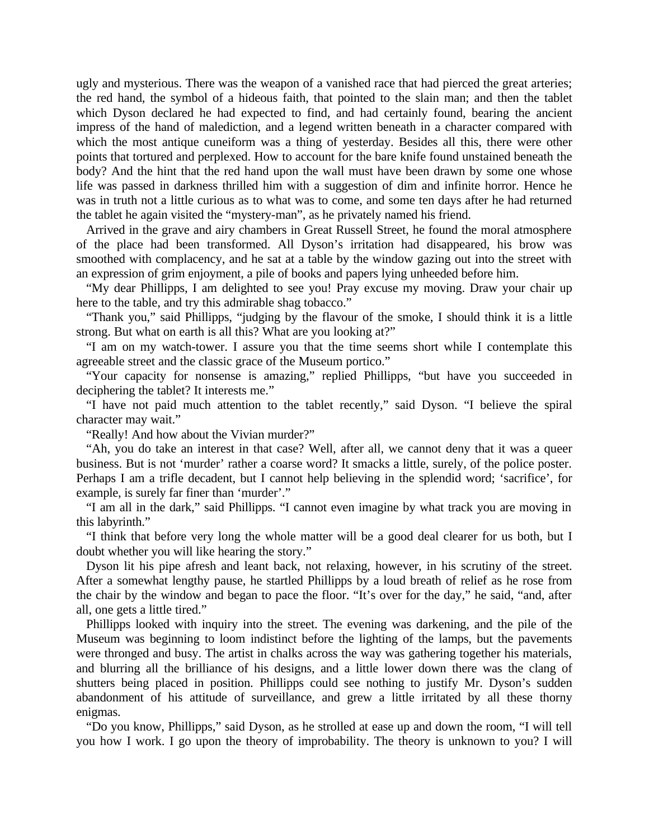ugly and mysterious. There was the weapon of a vanished race that had pierced the great arteries; the red hand, the symbol of a hideous faith, that pointed to the slain man; and then the tablet which Dyson declared he had expected to find, and had certainly found, bearing the ancient impress of the hand of malediction, and a legend written beneath in a character compared with which the most antique cuneiform was a thing of yesterday. Besides all this, there were other points that tortured and perplexed. How to account for the bare knife found unstained beneath the body? And the hint that the red hand upon the wall must have been drawn by some one whose life was passed in darkness thrilled him with a suggestion of dim and infinite horror. Hence he was in truth not a little curious as to what was to come, and some ten days after he had returned the tablet he again visited the "mystery-man", as he privately named his friend.

Arrived in the grave and airy chambers in Great Russell Street, he found the moral atmosphere of the place had been transformed. All Dyson's irritation had disappeared, his brow was smoothed with complacency, and he sat at a table by the window gazing out into the street with an expression of grim enjoyment, a pile of books and papers lying unheeded before him.

"My dear Phillipps, I am delighted to see you! Pray excuse my moving. Draw your chair up here to the table, and try this admirable shag tobacco."

"Thank you," said Phillipps, "judging by the flavour of the smoke, I should think it is a little strong. But what on earth is all this? What are you looking at?"

"I am on my watch-tower. I assure you that the time seems short while I contemplate this agreeable street and the classic grace of the Museum portico."

"Your capacity for nonsense is amazing," replied Phillipps, "but have you succeeded in deciphering the tablet? It interests me."

"I have not paid much attention to the tablet recently," said Dyson. "I believe the spiral character may wait."

"Really! And how about the Vivian murder?"

"Ah, you do take an interest in that case? Well, after all, we cannot deny that it was a queer business. But is not 'murder' rather a coarse word? It smacks a little, surely, of the police poster. Perhaps I am a trifle decadent, but I cannot help believing in the splendid word; 'sacrifice', for example, is surely far finer than 'murder'."

"I am all in the dark," said Phillipps. "I cannot even imagine by what track you are moving in this labyrinth."

"I think that before very long the whole matter will be a good deal clearer for us both, but I doubt whether you will like hearing the story."

Dyson lit his pipe afresh and leant back, not relaxing, however, in his scrutiny of the street. After a somewhat lengthy pause, he startled Phillipps by a loud breath of relief as he rose from the chair by the window and began to pace the floor. "It's over for the day," he said, "and, after all, one gets a little tired."

Phillipps looked with inquiry into the street. The evening was darkening, and the pile of the Museum was beginning to loom indistinct before the lighting of the lamps, but the pavements were thronged and busy. The artist in chalks across the way was gathering together his materials, and blurring all the brilliance of his designs, and a little lower down there was the clang of shutters being placed in position. Phillipps could see nothing to justify Mr. Dyson's sudden abandonment of his attitude of surveillance, and grew a little irritated by all these thorny enigmas.

"Do you know, Phillipps," said Dyson, as he strolled at ease up and down the room, "I will tell you how I work. I go upon the theory of improbability. The theory is unknown to you? I will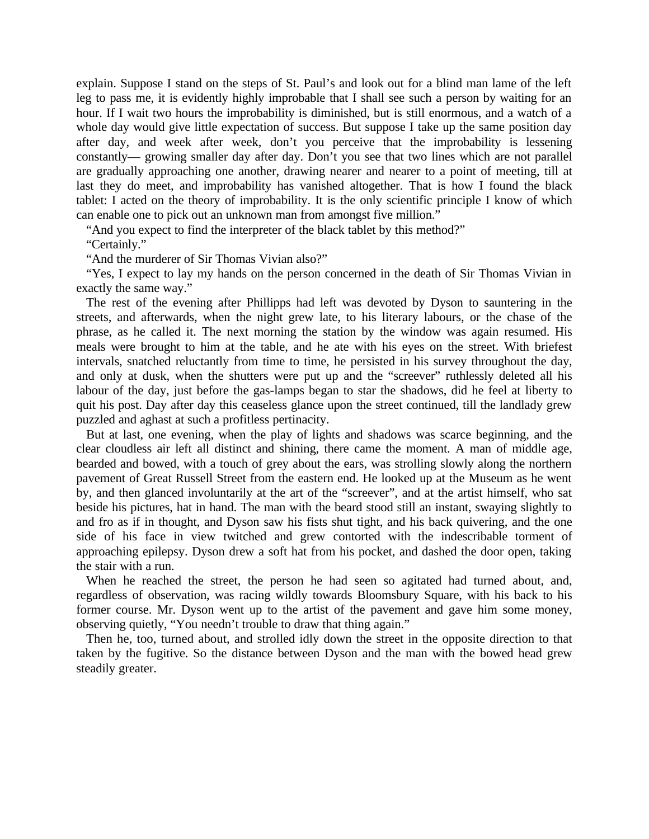explain. Suppose I stand on the steps of St. Paul's and look out for a blind man lame of the left leg to pass me, it is evidently highly improbable that I shall see such a person by waiting for an hour. If I wait two hours the improbability is diminished, but is still enormous, and a watch of a whole day would give little expectation of success. But suppose I take up the same position day after day, and week after week, don't you perceive that the improbability is lessening constantly— growing smaller day after day. Don't you see that two lines which are not parallel are gradually approaching one another, drawing nearer and nearer to a point of meeting, till at last they do meet, and improbability has vanished altogether. That is how I found the black tablet: I acted on the theory of improbability. It is the only scientific principle I know of which can enable one to pick out an unknown man from amongst five million."

"And you expect to find the interpreter of the black tablet by this method?"

"Certainly."

"And the murderer of Sir Thomas Vivian also?"

"Yes, I expect to lay my hands on the person concerned in the death of Sir Thomas Vivian in exactly the same way."

The rest of the evening after Phillipps had left was devoted by Dyson to sauntering in the streets, and afterwards, when the night grew late, to his literary labours, or the chase of the phrase, as he called it. The next morning the station by the window was again resumed. His meals were brought to him at the table, and he ate with his eyes on the street. With briefest intervals, snatched reluctantly from time to time, he persisted in his survey throughout the day, and only at dusk, when the shutters were put up and the "screever" ruthlessly deleted all his labour of the day, just before the gas-lamps began to star the shadows, did he feel at liberty to quit his post. Day after day this ceaseless glance upon the street continued, till the landlady grew puzzled and aghast at such a profitless pertinacity.

But at last, one evening, when the play of lights and shadows was scarce beginning, and the clear cloudless air left all distinct and shining, there came the moment. A man of middle age, bearded and bowed, with a touch of grey about the ears, was strolling slowly along the northern pavement of Great Russell Street from the eastern end. He looked up at the Museum as he went by, and then glanced involuntarily at the art of the "screever", and at the artist himself, who sat beside his pictures, hat in hand. The man with the beard stood still an instant, swaying slightly to and fro as if in thought, and Dyson saw his fists shut tight, and his back quivering, and the one side of his face in view twitched and grew contorted with the indescribable torment of approaching epilepsy. Dyson drew a soft hat from his pocket, and dashed the door open, taking the stair with a run.

When he reached the street, the person he had seen so agitated had turned about, and, regardless of observation, was racing wildly towards Bloomsbury Square, with his back to his former course. Mr. Dyson went up to the artist of the pavement and gave him some money, observing quietly, "You needn't trouble to draw that thing again."

Then he, too, turned about, and strolled idly down the street in the opposite direction to that taken by the fugitive. So the distance between Dyson and the man with the bowed head grew steadily greater.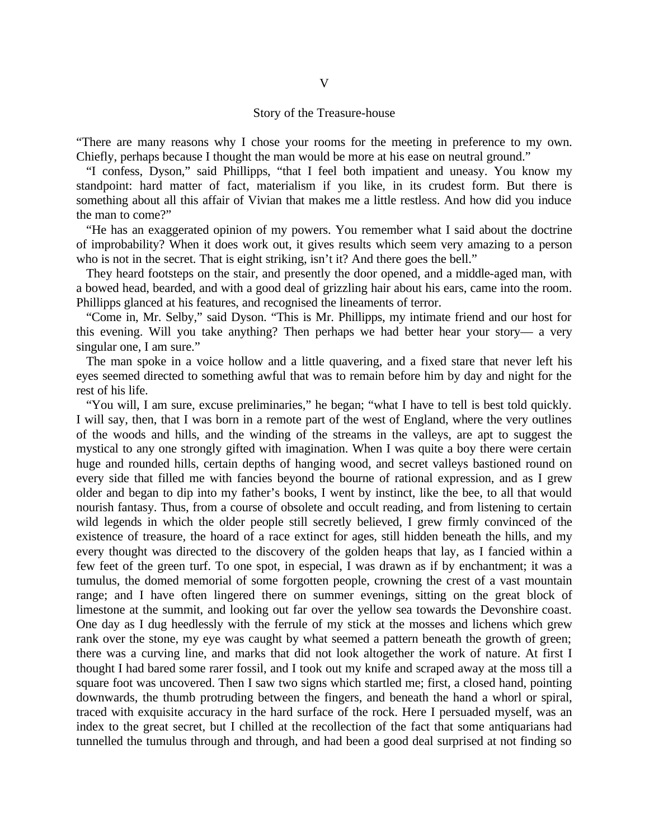#### Story of the Treasure-house

"There are many reasons why I chose your rooms for the meeting in preference to my own. Chiefly, perhaps because I thought the man would be more at his ease on neutral ground."

"I confess, Dyson," said Phillipps, "that I feel both impatient and uneasy. You know my standpoint: hard matter of fact, materialism if you like, in its crudest form. But there is something about all this affair of Vivian that makes me a little restless. And how did you induce the man to come?"

"He has an exaggerated opinion of my powers. You remember what I said about the doctrine of improbability? When it does work out, it gives results which seem very amazing to a person who is not in the secret. That is eight striking, isn't it? And there goes the bell."

They heard footsteps on the stair, and presently the door opened, and a middle-aged man, with a bowed head, bearded, and with a good deal of grizzling hair about his ears, came into the room. Phillipps glanced at his features, and recognised the lineaments of terror.

"Come in, Mr. Selby," said Dyson. "This is Mr. Phillipps, my intimate friend and our host for this evening. Will you take anything? Then perhaps we had better hear your story— a very singular one, I am sure."

The man spoke in a voice hollow and a little quavering, and a fixed stare that never left his eyes seemed directed to something awful that was to remain before him by day and night for the rest of his life.

"You will, I am sure, excuse preliminaries," he began; "what I have to tell is best told quickly. I will say, then, that I was born in a remote part of the west of England, where the very outlines of the woods and hills, and the winding of the streams in the valleys, are apt to suggest the mystical to any one strongly gifted with imagination. When I was quite a boy there were certain huge and rounded hills, certain depths of hanging wood, and secret valleys bastioned round on every side that filled me with fancies beyond the bourne of rational expression, and as I grew older and began to dip into my father's books, I went by instinct, like the bee, to all that would nourish fantasy. Thus, from a course of obsolete and occult reading, and from listening to certain wild legends in which the older people still secretly believed, I grew firmly convinced of the existence of treasure, the hoard of a race extinct for ages, still hidden beneath the hills, and my every thought was directed to the discovery of the golden heaps that lay, as I fancied within a few feet of the green turf. To one spot, in especial, I was drawn as if by enchantment; it was a tumulus, the domed memorial of some forgotten people, crowning the crest of a vast mountain range; and I have often lingered there on summer evenings, sitting on the great block of limestone at the summit, and looking out far over the yellow sea towards the Devonshire coast. One day as I dug heedlessly with the ferrule of my stick at the mosses and lichens which grew rank over the stone, my eye was caught by what seemed a pattern beneath the growth of green; there was a curving line, and marks that did not look altogether the work of nature. At first I thought I had bared some rarer fossil, and I took out my knife and scraped away at the moss till a square foot was uncovered. Then I saw two signs which startled me; first, a closed hand, pointing downwards, the thumb protruding between the fingers, and beneath the hand a whorl or spiral, traced with exquisite accuracy in the hard surface of the rock. Here I persuaded myself, was an index to the great secret, but I chilled at the recollection of the fact that some antiquarians had tunnelled the tumulus through and through, and had been a good deal surprised at not finding so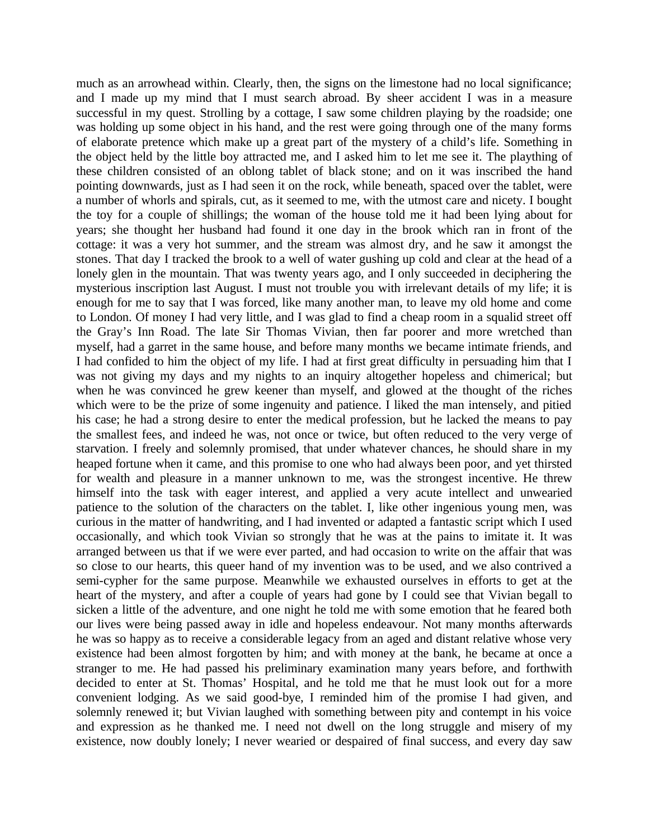much as an arrowhead within. Clearly, then, the signs on the limestone had no local significance; and I made up my mind that I must search abroad. By sheer accident I was in a measure successful in my quest. Strolling by a cottage, I saw some children playing by the roadside; one was holding up some object in his hand, and the rest were going through one of the many forms of elaborate pretence which make up a great part of the mystery of a child's life. Something in the object held by the little boy attracted me, and I asked him to let me see it. The plaything of these children consisted of an oblong tablet of black stone; and on it was inscribed the hand pointing downwards, just as I had seen it on the rock, while beneath, spaced over the tablet, were a number of whorls and spirals, cut, as it seemed to me, with the utmost care and nicety. I bought the toy for a couple of shillings; the woman of the house told me it had been lying about for years; she thought her husband had found it one day in the brook which ran in front of the cottage: it was a very hot summer, and the stream was almost dry, and he saw it amongst the stones. That day I tracked the brook to a well of water gushing up cold and clear at the head of a lonely glen in the mountain. That was twenty years ago, and I only succeeded in deciphering the mysterious inscription last August. I must not trouble you with irrelevant details of my life; it is enough for me to say that I was forced, like many another man, to leave my old home and come to London. Of money I had very little, and I was glad to find a cheap room in a squalid street off the Gray's Inn Road. The late Sir Thomas Vivian, then far poorer and more wretched than myself, had a garret in the same house, and before many months we became intimate friends, and I had confided to him the object of my life. I had at first great difficulty in persuading him that I was not giving my days and my nights to an inquiry altogether hopeless and chimerical; but when he was convinced he grew keener than myself, and glowed at the thought of the riches which were to be the prize of some ingenuity and patience. I liked the man intensely, and pitied his case; he had a strong desire to enter the medical profession, but he lacked the means to pay the smallest fees, and indeed he was, not once or twice, but often reduced to the very verge of starvation. I freely and solemnly promised, that under whatever chances, he should share in my heaped fortune when it came, and this promise to one who had always been poor, and yet thirsted for wealth and pleasure in a manner unknown to me, was the strongest incentive. He threw himself into the task with eager interest, and applied a very acute intellect and unwearied patience to the solution of the characters on the tablet. I, like other ingenious young men, was curious in the matter of handwriting, and I had invented or adapted a fantastic script which I used occasionally, and which took Vivian so strongly that he was at the pains to imitate it. It was arranged between us that if we were ever parted, and had occasion to write on the affair that was so close to our hearts, this queer hand of my invention was to be used, and we also contrived a semi-cypher for the same purpose. Meanwhile we exhausted ourselves in efforts to get at the heart of the mystery, and after a couple of years had gone by I could see that Vivian begall to sicken a little of the adventure, and one night he told me with some emotion that he feared both our lives were being passed away in idle and hopeless endeavour. Not many months afterwards he was so happy as to receive a considerable legacy from an aged and distant relative whose very existence had been almost forgotten by him; and with money at the bank, he became at once a stranger to me. He had passed his preliminary examination many years before, and forthwith decided to enter at St. Thomas' Hospital, and he told me that he must look out for a more convenient lodging. As we said good-bye, I reminded him of the promise I had given, and solemnly renewed it; but Vivian laughed with something between pity and contempt in his voice and expression as he thanked me. I need not dwell on the long struggle and misery of my existence, now doubly lonely; I never wearied or despaired of final success, and every day saw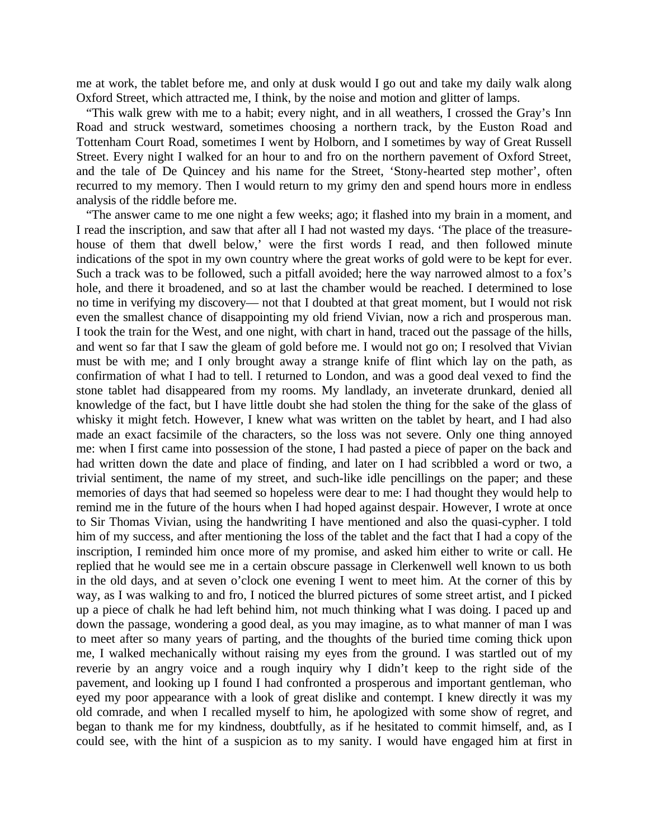me at work, the tablet before me, and only at dusk would I go out and take my daily walk along Oxford Street, which attracted me, I think, by the noise and motion and glitter of lamps.

"This walk grew with me to a habit; every night, and in all weathers, I crossed the Gray's Inn Road and struck westward, sometimes choosing a northern track, by the Euston Road and Tottenham Court Road, sometimes I went by Holborn, and I sometimes by way of Great Russell Street. Every night I walked for an hour to and fro on the northern pavement of Oxford Street, and the tale of De Quincey and his name for the Street, 'Stony-hearted step mother', often recurred to my memory. Then I would return to my grimy den and spend hours more in endless analysis of the riddle before me.

"The answer came to me one night a few weeks; ago; it flashed into my brain in a moment, and I read the inscription, and saw that after all I had not wasted my days. 'The place of the treasurehouse of them that dwell below,' were the first words I read, and then followed minute indications of the spot in my own country where the great works of gold were to be kept for ever. Such a track was to be followed, such a pitfall avoided; here the way narrowed almost to a fox's hole, and there it broadened, and so at last the chamber would be reached. I determined to lose no time in verifying my discovery— not that I doubted at that great moment, but I would not risk even the smallest chance of disappointing my old friend Vivian, now a rich and prosperous man. I took the train for the West, and one night, with chart in hand, traced out the passage of the hills, and went so far that I saw the gleam of gold before me. I would not go on; I resolved that Vivian must be with me; and I only brought away a strange knife of flint which lay on the path, as confirmation of what I had to tell. I returned to London, and was a good deal vexed to find the stone tablet had disappeared from my rooms. My landlady, an inveterate drunkard, denied all knowledge of the fact, but I have little doubt she had stolen the thing for the sake of the glass of whisky it might fetch. However, I knew what was written on the tablet by heart, and I had also made an exact facsimile of the characters, so the loss was not severe. Only one thing annoyed me: when I first came into possession of the stone, I had pasted a piece of paper on the back and had written down the date and place of finding, and later on I had scribbled a word or two, a trivial sentiment, the name of my street, and such-like idle pencillings on the paper; and these memories of days that had seemed so hopeless were dear to me: I had thought they would help to remind me in the future of the hours when I had hoped against despair. However, I wrote at once to Sir Thomas Vivian, using the handwriting I have mentioned and also the quasi-cypher. I told him of my success, and after mentioning the loss of the tablet and the fact that I had a copy of the inscription, I reminded him once more of my promise, and asked him either to write or call. He replied that he would see me in a certain obscure passage in Clerkenwell well known to us both in the old days, and at seven o'clock one evening I went to meet him. At the corner of this by way, as I was walking to and fro, I noticed the blurred pictures of some street artist, and I picked up a piece of chalk he had left behind him, not much thinking what I was doing. I paced up and down the passage, wondering a good deal, as you may imagine, as to what manner of man I was to meet after so many years of parting, and the thoughts of the buried time coming thick upon me, I walked mechanically without raising my eyes from the ground. I was startled out of my reverie by an angry voice and a rough inquiry why I didn't keep to the right side of the pavement, and looking up I found I had confronted a prosperous and important gentleman, who eyed my poor appearance with a look of great dislike and contempt. I knew directly it was my old comrade, and when I recalled myself to him, he apologized with some show of regret, and began to thank me for my kindness, doubtfully, as if he hesitated to commit himself, and, as I could see, with the hint of a suspicion as to my sanity. I would have engaged him at first in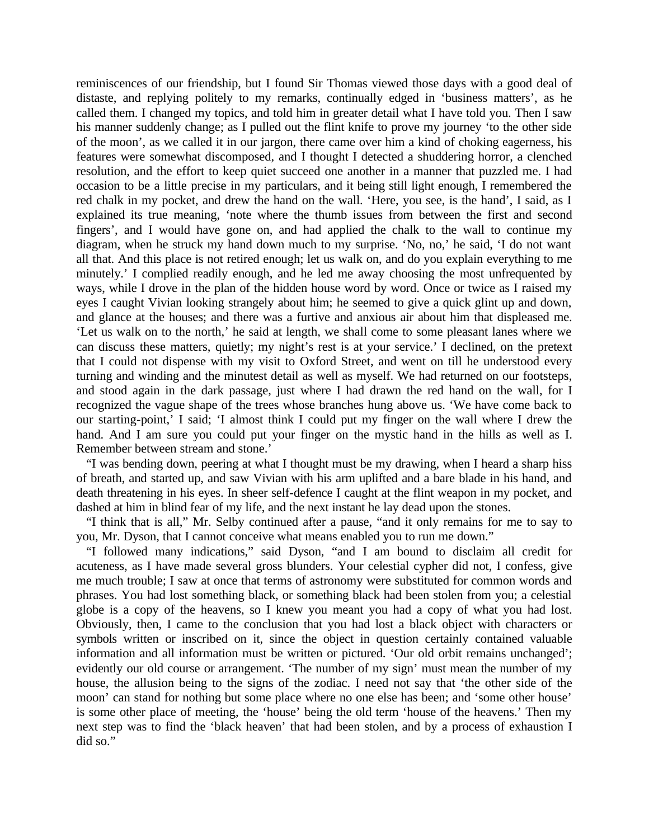reminiscences of our friendship, but I found Sir Thomas viewed those days with a good deal of distaste, and replying politely to my remarks, continually edged in 'business matters', as he called them. I changed my topics, and told him in greater detail what I have told you. Then I saw his manner suddenly change; as I pulled out the flint knife to prove my journey 'to the other side of the moon', as we called it in our jargon, there came over him a kind of choking eagerness, his features were somewhat discomposed, and I thought I detected a shuddering horror, a clenched resolution, and the effort to keep quiet succeed one another in a manner that puzzled me. I had occasion to be a little precise in my particulars, and it being still light enough, I remembered the red chalk in my pocket, and drew the hand on the wall. 'Here, you see, is the hand', I said, as I explained its true meaning, 'note where the thumb issues from between the first and second fingers', and I would have gone on, and had applied the chalk to the wall to continue my diagram, when he struck my hand down much to my surprise. 'No, no,' he said, 'I do not want all that. And this place is not retired enough; let us walk on, and do you explain everything to me minutely.' I complied readily enough, and he led me away choosing the most unfrequented by ways, while I drove in the plan of the hidden house word by word. Once or twice as I raised my eyes I caught Vivian looking strangely about him; he seemed to give a quick glint up and down, and glance at the houses; and there was a furtive and anxious air about him that displeased me. 'Let us walk on to the north,' he said at length, we shall come to some pleasant lanes where we can discuss these matters, quietly; my night's rest is at your service.' I declined, on the pretext that I could not dispense with my visit to Oxford Street, and went on till he understood every turning and winding and the minutest detail as well as myself. We had returned on our footsteps, and stood again in the dark passage, just where I had drawn the red hand on the wall, for I recognized the vague shape of the trees whose branches hung above us. 'We have come back to our starting-point,' I said; 'I almost think I could put my finger on the wall where I drew the hand. And I am sure you could put your finger on the mystic hand in the hills as well as I. Remember between stream and stone.'

"I was bending down, peering at what I thought must be my drawing, when I heard a sharp hiss of breath, and started up, and saw Vivian with his arm uplifted and a bare blade in his hand, and death threatening in his eyes. In sheer self-defence I caught at the flint weapon in my pocket, and dashed at him in blind fear of my life, and the next instant he lay dead upon the stones.

"I think that is all," Mr. Selby continued after a pause, "and it only remains for me to say to you, Mr. Dyson, that I cannot conceive what means enabled you to run me down."

"I followed many indications," said Dyson, "and I am bound to disclaim all credit for acuteness, as I have made several gross blunders. Your celestial cypher did not, I confess, give me much trouble; I saw at once that terms of astronomy were substituted for common words and phrases. You had lost something black, or something black had been stolen from you; a celestial globe is a copy of the heavens, so I knew you meant you had a copy of what you had lost. Obviously, then, I came to the conclusion that you had lost a black object with characters or symbols written or inscribed on it, since the object in question certainly contained valuable information and all information must be written or pictured. 'Our old orbit remains unchanged'; evidently our old course or arrangement. 'The number of my sign' must mean the number of my house, the allusion being to the signs of the zodiac. I need not say that 'the other side of the moon' can stand for nothing but some place where no one else has been; and 'some other house' is some other place of meeting, the 'house' being the old term 'house of the heavens.' Then my next step was to find the 'black heaven' that had been stolen, and by a process of exhaustion I did so."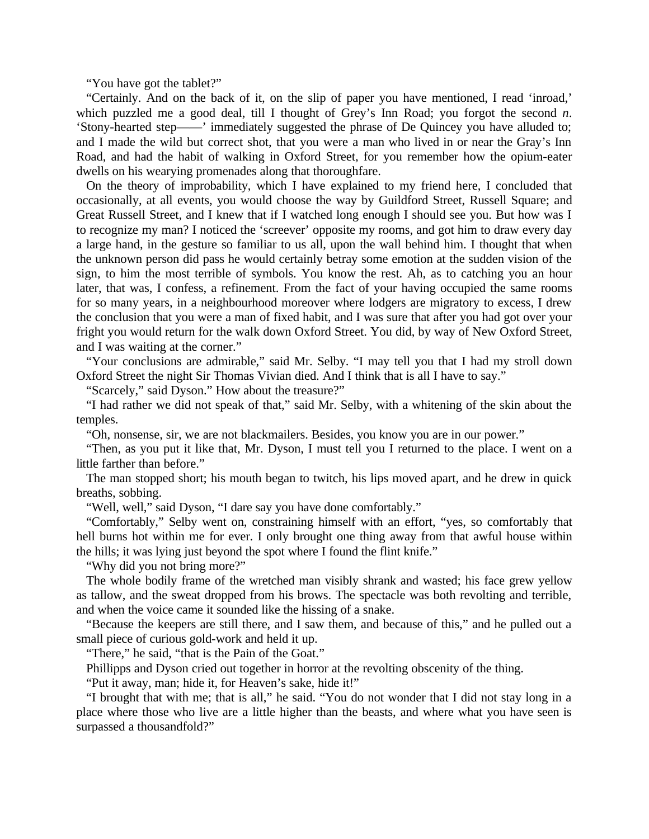"You have got the tablet?"

"Certainly. And on the back of it, on the slip of paper you have mentioned, I read 'inroad,' which puzzled me a good deal, till I thought of Grey's Inn Road; you forgot the second *n*. 'Stony-hearted step——' immediately suggested the phrase of De Quincey you have alluded to; and I made the wild but correct shot, that you were a man who lived in or near the Gray's Inn Road, and had the habit of walking in Oxford Street, for you remember how the opium-eater dwells on his wearying promenades along that thoroughfare.

On the theory of improbability, which I have explained to my friend here, I concluded that occasionally, at all events, you would choose the way by Guildford Street, Russell Square; and Great Russell Street, and I knew that if I watched long enough I should see you. But how was I to recognize my man? I noticed the 'screever' opposite my rooms, and got him to draw every day a large hand, in the gesture so familiar to us all, upon the wall behind him. I thought that when the unknown person did pass he would certainly betray some emotion at the sudden vision of the sign, to him the most terrible of symbols. You know the rest. Ah, as to catching you an hour later, that was, I confess, a refinement. From the fact of your having occupied the same rooms for so many years, in a neighbourhood moreover where lodgers are migratory to excess, I drew the conclusion that you were a man of fixed habit, and I was sure that after you had got over your fright you would return for the walk down Oxford Street. You did, by way of New Oxford Street, and I was waiting at the corner."

"Your conclusions are admirable," said Mr. Selby. "I may tell you that I had my stroll down Oxford Street the night Sir Thomas Vivian died. And I think that is all I have to say."

"Scarcely," said Dyson." How about the treasure?"

"I had rather we did not speak of that," said Mr. Selby, with a whitening of the skin about the temples.

"Oh, nonsense, sir, we are not blackmailers. Besides, you know you are in our power."

"Then, as you put it like that, Mr. Dyson, I must tell you I returned to the place. I went on a little farther than before."

The man stopped short; his mouth began to twitch, his lips moved apart, and he drew in quick breaths, sobbing.

"Well, well," said Dyson, "I dare say you have done comfortably."

"Comfortably," Selby went on, constraining himself with an effort, "yes, so comfortably that hell burns hot within me for ever. I only brought one thing away from that awful house within the hills; it was lying just beyond the spot where I found the flint knife."

"Why did you not bring more?"

The whole bodily frame of the wretched man visibly shrank and wasted; his face grew yellow as tallow, and the sweat dropped from his brows. The spectacle was both revolting and terrible, and when the voice came it sounded like the hissing of a snake.

"Because the keepers are still there, and I saw them, and because of this," and he pulled out a small piece of curious gold-work and held it up.

"There," he said, "that is the Pain of the Goat."

Phillipps and Dyson cried out together in horror at the revolting obscenity of the thing.

"Put it away, man; hide it, for Heaven's sake, hide it!"

"I brought that with me; that is all," he said. "You do not wonder that I did not stay long in a place where those who live are a little higher than the beasts, and where what you have seen is surpassed a thousandfold?"